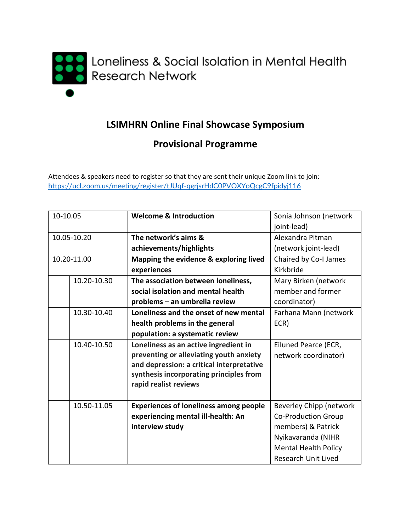

## **LSIMHRN Online Final Showcase Symposium**

## **Provisional Programme**

Attendees & speakers need to register so that they are sent their unique Zoom link to join: <https://ucl.zoom.us/meeting/register/tJUqf-qgrjsrHdC0PVOXYoQcgC9fpidyj116>

| 10-10.05    |  | <b>Welcome &amp; Introduction</b>             | Sonia Johnson (network      |
|-------------|--|-----------------------------------------------|-----------------------------|
|             |  |                                               | joint-lead)                 |
|             |  |                                               |                             |
| 10.05-10.20 |  | The network's aims &                          | Alexandra Pitman            |
|             |  | achievements/highlights                       | (network joint-lead)        |
| 10.20-11.00 |  | Mapping the evidence & exploring lived        | Chaired by Co-I James       |
|             |  | experiences                                   | Kirkbride                   |
| 10.20-10.30 |  | The association between loneliness,           | Mary Birken (network        |
|             |  | social isolation and mental health            | member and former           |
|             |  | problems - an umbrella review                 | coordinator)                |
| 10.30-10.40 |  | Loneliness and the onset of new mental        | Farhana Mann (network       |
|             |  | health problems in the general                | ECR)                        |
|             |  | population: a systematic review               |                             |
| 10.40-10.50 |  | Loneliness as an active ingredient in         | Eiluned Pearce (ECR,        |
|             |  | preventing or alleviating youth anxiety       | network coordinator)        |
|             |  | and depression: a critical interpretative     |                             |
|             |  | synthesis incorporating principles from       |                             |
|             |  | rapid realist reviews                         |                             |
|             |  |                                               |                             |
| 10.50-11.05 |  | <b>Experiences of loneliness among people</b> | Beverley Chipp (network     |
|             |  | experiencing mental ill-health: An            | <b>Co-Production Group</b>  |
|             |  | interview study                               | members) & Patrick          |
|             |  |                                               | Nyikavaranda (NIHR          |
|             |  |                                               | <b>Mental Health Policy</b> |
|             |  |                                               | <b>Research Unit Lived</b>  |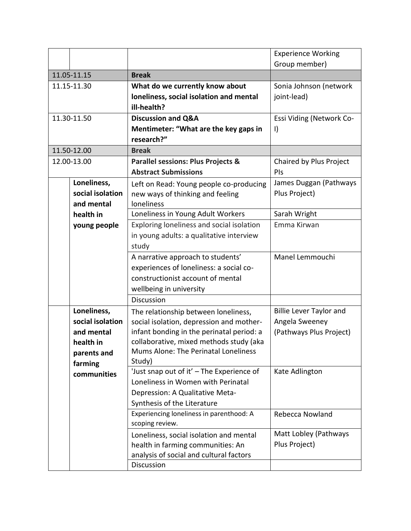|             |                  |                                                     | <b>Experience Working</b>      |
|-------------|------------------|-----------------------------------------------------|--------------------------------|
|             |                  |                                                     | Group member)                  |
| 11.05-11.15 |                  | <b>Break</b>                                        |                                |
|             | 11.15-11.30      | What do we currently know about                     | Sonia Johnson (network         |
|             |                  | loneliness, social isolation and mental             | joint-lead)                    |
|             |                  | ill-health?                                         |                                |
|             | 11.30-11.50      | <b>Discussion and Q&amp;A</b>                       | Essi Viding (Network Co-       |
|             |                  | Mentimeter: "What are the key gaps in               | $\vert$                        |
|             |                  | research?"                                          |                                |
|             | 11.50-12.00      | <b>Break</b>                                        |                                |
|             | 12.00-13.00      | <b>Parallel sessions: Plus Projects &amp;</b>       | Chaired by Plus Project        |
|             |                  | <b>Abstract Submissions</b>                         | PIS                            |
|             | Loneliness,      | Left on Read: Young people co-producing             | James Duggan (Pathways         |
|             | social isolation | new ways of thinking and feeling                    | Plus Project)                  |
|             | and mental       | loneliness                                          |                                |
|             | health in        | Loneliness in Young Adult Workers                   | Sarah Wright                   |
|             | young people     | Exploring loneliness and social isolation           | Emma Kirwan                    |
|             |                  | in young adults: a qualitative interview            |                                |
|             |                  | study                                               |                                |
|             |                  | A narrative approach to students'                   | Manel Lemmouchi                |
|             |                  | experiences of loneliness: a social co-             |                                |
|             |                  | constructionist account of mental                   |                                |
|             |                  | wellbeing in university                             |                                |
|             |                  | <b>Discussion</b>                                   |                                |
|             | Loneliness,      | The relationship between loneliness,                | <b>Billie Lever Taylor and</b> |
|             | social isolation | social isolation, depression and mother-            | Angela Sweeney                 |
|             | and mental       | infant bonding in the perinatal period: a           | (Pathways Plus Project)        |
|             | health in        | collaborative, mixed methods study (aka             |                                |
|             | parents and      | Mums Alone: The Perinatal Loneliness                |                                |
|             | farming          | Study)<br>'Just snap out of it' - The Experience of | Kate Adlington                 |
|             | communities      | Loneliness in Women with Perinatal                  |                                |
|             |                  | Depression: A Qualitative Meta-                     |                                |
|             |                  | Synthesis of the Literature                         |                                |
|             |                  | Experiencing loneliness in parenthood: A            | Rebecca Nowland                |
|             |                  | scoping review.                                     |                                |
|             |                  | Loneliness, social isolation and mental             | Matt Lobley (Pathways          |
|             |                  | health in farming communities: An                   | Plus Project)                  |
|             |                  | analysis of social and cultural factors             |                                |
|             |                  | Discussion                                          |                                |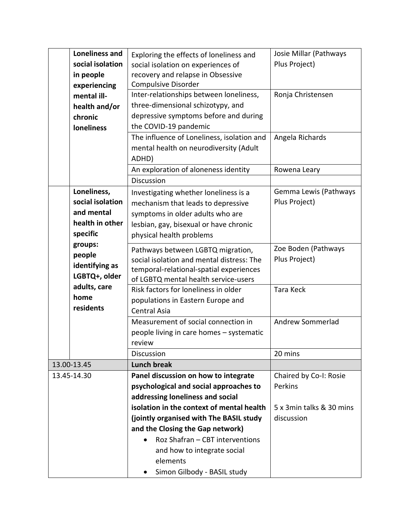| <b>Loneliness and</b>                                                        | Exploring the effects of loneliness and                                                                                                                                               | Josie Millar (Pathways                 |
|------------------------------------------------------------------------------|---------------------------------------------------------------------------------------------------------------------------------------------------------------------------------------|----------------------------------------|
| social isolation                                                             | social isolation on experiences of                                                                                                                                                    | Plus Project)                          |
| in people                                                                    | recovery and relapse in Obsessive                                                                                                                                                     |                                        |
| experiencing                                                                 | <b>Compulsive Disorder</b>                                                                                                                                                            |                                        |
| mental ill-                                                                  | Inter-relationships between loneliness,                                                                                                                                               | Ronja Christensen                      |
| health and/or                                                                | three-dimensional schizotypy, and                                                                                                                                                     |                                        |
| chronic                                                                      | depressive symptoms before and during                                                                                                                                                 |                                        |
| <b>loneliness</b>                                                            | the COVID-19 pandemic                                                                                                                                                                 |                                        |
|                                                                              | The influence of Loneliness, isolation and<br>mental health on neurodiversity (Adult<br>ADHD)                                                                                         | Angela Richards                        |
|                                                                              | An exploration of aloneness identity                                                                                                                                                  | Rowena Leary                           |
|                                                                              | <b>Discussion</b>                                                                                                                                                                     |                                        |
| Loneliness,<br>social isolation<br>and mental<br>health in other<br>specific | Investigating whether loneliness is a<br>mechanism that leads to depressive<br>symptoms in older adults who are<br>lesbian, gay, bisexual or have chronic<br>physical health problems | Gemma Lewis (Pathways<br>Plus Project) |
| groups:<br>people<br>identifying as<br>LGBTQ+, older                         | Pathways between LGBTQ migration,<br>social isolation and mental distress: The<br>temporal-relational-spatial experiences<br>of LGBTQ mental health service-users                     | Zoe Boden (Pathways<br>Plus Project)   |
| adults, care<br>home<br>residents                                            | Risk factors for loneliness in older<br>populations in Eastern Europe and<br><b>Central Asia</b>                                                                                      | <b>Tara Keck</b>                       |
|                                                                              | Measurement of social connection in<br>people living in care homes - systematic<br>review                                                                                             | Andrew Sommerlad                       |
|                                                                              | <b>Discussion</b>                                                                                                                                                                     | 20 mins                                |
| 13.00-13.45                                                                  | <b>Lunch break</b>                                                                                                                                                                    |                                        |
| 13.45-14.30                                                                  | Panel discussion on how to integrate<br>psychological and social approaches to<br>addressing loneliness and social                                                                    | Chaired by Co-I: Rosie<br>Perkins      |
|                                                                              | isolation in the context of mental health                                                                                                                                             | 5 x 3 min talks & 30 mins              |
|                                                                              | (jointly organised with The BASIL study                                                                                                                                               | discussion                             |
|                                                                              | and the Closing the Gap network)                                                                                                                                                      |                                        |
|                                                                              | Roz Shafran - CBT interventions<br>$\bullet$                                                                                                                                          |                                        |
|                                                                              | and how to integrate social<br>elements                                                                                                                                               |                                        |
|                                                                              | Simon Gilbody - BASIL study                                                                                                                                                           |                                        |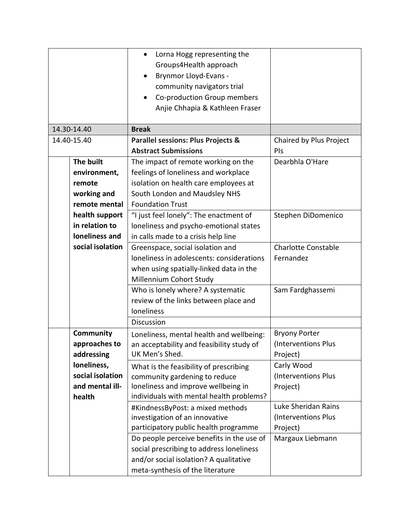|                           | Lorna Hogg representing the<br>$\bullet$<br>Groups4Health approach<br><b>Brynmor Lloyd-Evans -</b><br>community navigators trial<br>Co-production Group members |                                   |
|---------------------------|-----------------------------------------------------------------------------------------------------------------------------------------------------------------|-----------------------------------|
|                           | Anjie Chhapia & Kathleen Fraser                                                                                                                                 |                                   |
| 14.30-14.40               | <b>Break</b>                                                                                                                                                    |                                   |
| 14.40-15.40               | <b>Parallel sessions: Plus Projects &amp;</b>                                                                                                                   | Chaired by Plus Project           |
|                           | <b>Abstract Submissions</b>                                                                                                                                     | PIS                               |
| The built                 | The impact of remote working on the                                                                                                                             | Dearbhla O'Hare                   |
| environment,              | feelings of loneliness and workplace                                                                                                                            |                                   |
| remote                    | isolation on health care employees at                                                                                                                           |                                   |
| working and               | South London and Maudsley NHS                                                                                                                                   |                                   |
| remote mental             | <b>Foundation Trust</b>                                                                                                                                         |                                   |
| health support            | "I just feel lonely": The enactment of                                                                                                                          | Stephen DiDomenico                |
| in relation to            | loneliness and psycho-emotional states                                                                                                                          |                                   |
| loneliness and            | in calls made to a crisis help line                                                                                                                             |                                   |
| social isolation          | Greenspace, social isolation and                                                                                                                                | <b>Charlotte Constable</b>        |
|                           | loneliness in adolescents: considerations                                                                                                                       | Fernandez                         |
|                           | when using spatially-linked data in the                                                                                                                         |                                   |
|                           | Millennium Cohort Study                                                                                                                                         |                                   |
|                           | Who is lonely where? A systematic                                                                                                                               | Sam Fardghassemi                  |
|                           | review of the links between place and                                                                                                                           |                                   |
|                           | <b>loneliness</b>                                                                                                                                               |                                   |
|                           | <b>Discussion</b>                                                                                                                                               |                                   |
| Community                 | Loneliness, mental health and wellbeing:                                                                                                                        | <b>Bryony Porter</b>              |
| approaches to             | an acceptability and feasibility study of<br>UK Men's Shed.                                                                                                     | (Interventions Plus               |
| addressing<br>loneliness, |                                                                                                                                                                 | Project)                          |
| social isolation          | What is the feasibility of prescribing                                                                                                                          | Carly Wood<br>(Interventions Plus |
| and mental ill-           | community gardening to reduce<br>loneliness and improve wellbeing in                                                                                            | Project)                          |
| health                    | individuals with mental health problems?                                                                                                                        |                                   |
|                           | #KindnessByPost: a mixed methods                                                                                                                                | Luke Sheridan Rains               |
|                           | investigation of an innovative                                                                                                                                  | (Interventions Plus               |
|                           | participatory public health programme                                                                                                                           | Project)                          |
|                           | Do people perceive benefits in the use of                                                                                                                       | Margaux Liebmann                  |
|                           | social prescribing to address loneliness                                                                                                                        |                                   |
|                           | and/or social isolation? A qualitative                                                                                                                          |                                   |
|                           | meta-synthesis of the literature                                                                                                                                |                                   |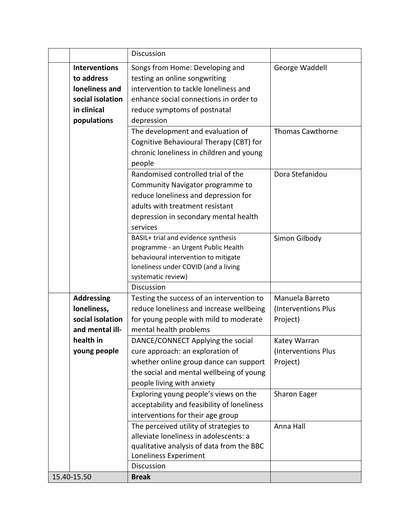|             |                      | Discussion                                  |                         |
|-------------|----------------------|---------------------------------------------|-------------------------|
|             | <b>Interventions</b> | Songs from Home: Developing and             | George Waddell          |
|             | to address           | testing an online songwriting               |                         |
|             | loneliness and       | intervention to tackle loneliness and       |                         |
|             | social isolation     | enhance social connections in order to      |                         |
|             | in clinical          | reduce symptoms of postnatal                |                         |
|             | populations          | depression                                  |                         |
|             |                      | The development and evaluation of           | <b>Thomas Cawthorne</b> |
|             |                      | Cognitive Behavioural Therapy (CBT) for     |                         |
|             |                      | chronic loneliness in children and young    |                         |
|             |                      | people                                      |                         |
|             |                      | Randomised controlled trial of the          | Dora Stefanidou         |
|             |                      | Community Navigator programme to            |                         |
|             |                      | reduce loneliness and depression for        |                         |
|             |                      | adults with treatment resistant             |                         |
|             |                      | depression in secondary mental health       |                         |
|             |                      | services                                    |                         |
|             |                      | BASIL+ trial and evidence synthesis         | Simon Gilbody           |
|             |                      | programme - an Urgent Public Health         |                         |
|             |                      | behavioural intervention to mitigate        |                         |
|             |                      | loneliness under COVID (and a living        |                         |
|             |                      | systematic review)                          |                         |
|             |                      | Discussion                                  |                         |
|             | <b>Addressing</b>    | Testing the success of an intervention to   | Manuela Barreto         |
|             | loneliness,          | reduce loneliness and increase wellbeing    | (Interventions Plus     |
|             | social isolation     | for young people with mild to moderate      | Project)                |
|             | and mental ill-      | mental health problems                      |                         |
|             | health in            | DANCE/CONNECT Applying the social           | Katey Warran            |
|             | young people         | cure approach: an exploration of            | (Interventions Plus     |
|             |                      | whether online group dance can support      | Project)                |
|             |                      | the social and mental wellbeing of young    |                         |
|             |                      | people living with anxiety                  |                         |
|             |                      | Exploring young people's views on the       | Sharon Eager            |
|             |                      | acceptability and feasibility of loneliness |                         |
|             |                      | interventions for their age group           |                         |
|             |                      | The perceived utility of strategies to      | Anna Hall               |
|             |                      | alleviate loneliness in adolescents: a      |                         |
|             |                      | qualitative analysis of data from the BBC   |                         |
|             |                      | Loneliness Experiment                       |                         |
|             |                      | Discussion                                  |                         |
| 15.40-15.50 |                      | <b>Break</b>                                |                         |